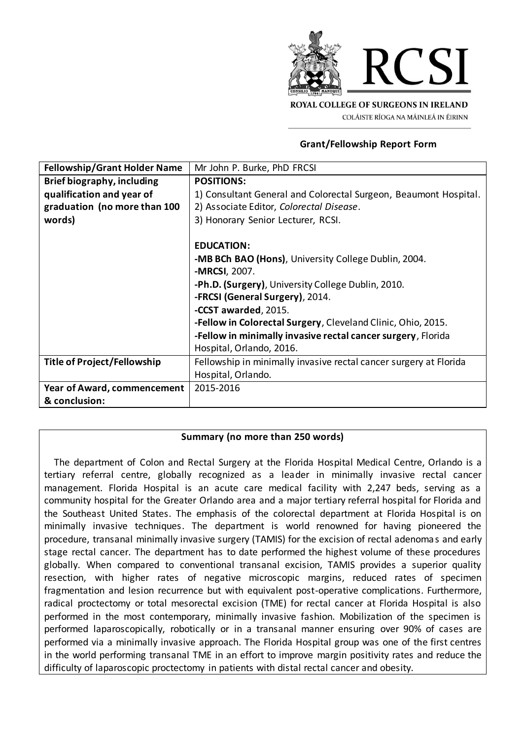

#### **Grant/Fellowship Report Form**

| <b>Fellowship/Grant Holder Name</b> | Mr John P. Burke, PhD FRCSI                                       |
|-------------------------------------|-------------------------------------------------------------------|
| Brief biography, including          | <b>POSITIONS:</b>                                                 |
| qualification and year of           | 1) Consultant General and Colorectal Surgeon, Beaumont Hospital.  |
| graduation (no more than 100        | 2) Associate Editor, Colorectal Disease.                          |
| words)                              | 3) Honorary Senior Lecturer, RCSI.                                |
|                                     |                                                                   |
|                                     | <b>EDUCATION:</b>                                                 |
|                                     | -MB BCh BAO (Hons), University College Dublin, 2004.              |
|                                     | -MRCSI, 2007.                                                     |
|                                     | -Ph.D. (Surgery), University College Dublin, 2010.                |
|                                     | -FRCSI (General Surgery), 2014.                                   |
|                                     | -CCST awarded, 2015.                                              |
|                                     | -Fellow in Colorectal Surgery, Cleveland Clinic, Ohio, 2015.      |
|                                     | -Fellow in minimally invasive rectal cancer surgery, Florida      |
|                                     | Hospital, Orlando, 2016.                                          |
| <b>Title of Project/Fellowship</b>  | Fellowship in minimally invasive rectal cancer surgery at Florida |
|                                     | Hospital, Orlando.                                                |
| Year of Award, commencement         | 2015-2016                                                         |
| & conclusion:                       |                                                                   |

# **Summary (no more than 250 words)**

The department of Colon and Rectal Surgery at the Florida Hospital Medical Centre, Orlando is a tertiary referral centre, globally recognized as a leader in minimally invasive rectal cancer management. Florida Hospital is an acute care medical facility with 2,247 beds, serving as a community hospital for the Greater Orlando area and a major tertiary referral hospital for Florida and the Southeast United States. The emphasis of the colorectal department at Florida Hospital is on minimally invasive techniques. The department is world renowned for having pioneered the procedure, transanal minimally invasive surgery (TAMIS) for the excision of rectal adenomas and early stage rectal cancer. The department has to date performed the highest volume of these procedures globally. When compared to conventional transanal excision, TAMIS provides a superior quality resection, with higher rates of negative microscopic margins, reduced rates of specimen fragmentation and lesion recurrence but with equivalent post-operative complications. Furthermore, radical proctectomy or total mesorectal excision (TME) for rectal cancer at Florida Hospital is also performed in the most contemporary, minimally invasive fashion. Mobilization of the specimen is performed laparoscopically, robotically or in a transanal manner ensuring over 90% of cases are performed via a minimally invasive approach. The Florida Hospital group was one of the first centres in the world performing transanal TME in an effort to improve margin positivity rates and reduce the difficulty of laparoscopic proctectomy in patients with distal rectal cancer and obesity.